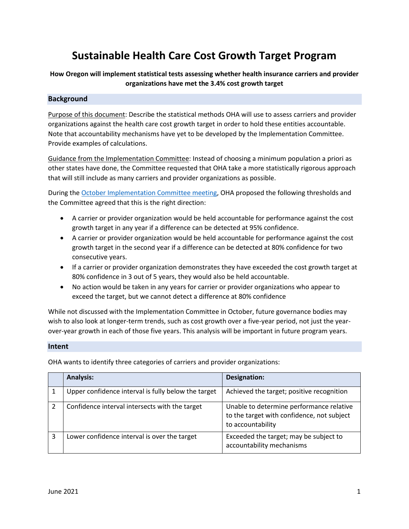# **Sustainable Health Care Cost Growth Target Program**

# **How Oregon will implement statistical tests assessing whether health insurance carriers and provider organizations have met the 3.4% cost growth target**

# **Background**

Purpose of this document: Describe the statistical methods OHA will use to assess carriers and provider organizations against the health care cost growth target in order to hold these entities accountable. Note that accountability mechanisms have yet to be developed by the Implementation Committee. Provide examples of calculations.

Guidance from the Implementation Committee: Instead of choosing a minimum population a priori as other states have done, the Committee requested that OHA take a more statistically rigorous approach that will still include as many carriers and provider organizations as possible.

During the [October Implementation Committee meeting,](https://www.oregon.gov/oha/HPA/HP/HCCGBMeetingDocs/04.%20Slides%2010.06.2020_FINAL.pdf) OHA proposed the following thresholds and the Committee agreed that this is the right direction:

- A carrier or provider organization would be held accountable for performance against the cost growth target in any year if a difference can be detected at 95% confidence.
- A carrier or provider organization would be held accountable for performance against the cost growth target in the second year if a difference can be detected at 80% confidence for two consecutive years.
- If a carrier or provider organization demonstrates they have exceeded the cost growth target at 80% confidence in 3 out of 5 years, they would also be held accountable.
- No action would be taken in any years for carrier or provider organizations who appear to exceed the target, but we cannot detect a difference at 80% confidence

While not discussed with the Implementation Committee in October, future governance bodies may wish to also look at longer-term trends, such as cost growth over a five-year period, not just the yearover-year growth in each of those five years. This analysis will be important in future program years.

#### **Intent**

OHA wants to identify three categories of carriers and provider organizations:

|   | <b>Analysis:</b>                                    | Designation:                                                                                                |
|---|-----------------------------------------------------|-------------------------------------------------------------------------------------------------------------|
|   | Upper confidence interval is fully below the target | Achieved the target; positive recognition                                                                   |
| 2 | Confidence interval intersects with the target      | Unable to determine performance relative<br>to the target with confidence, not subject<br>to accountability |
| 3 | Lower confidence interval is over the target        | Exceeded the target; may be subject to<br>accountability mechanisms                                         |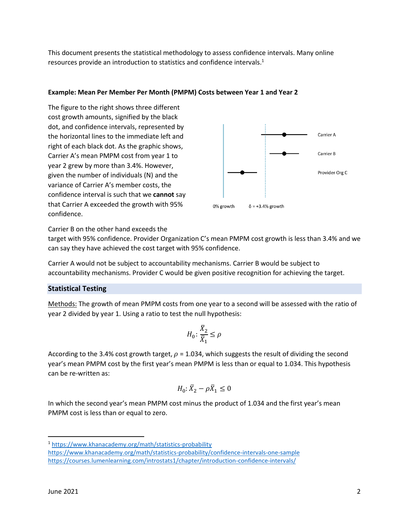This document presents the statistical methodology to assess confidence intervals. Many online resources provide an introduction to statistics and confidence intervals.<sup>1</sup>

# **Example: Mean Per Member Per Month (PMPM) Costs between Year 1 and Year 2**

The figure to the right shows three different cost growth amounts, signified by the black dot, and confidence intervals, represented by the horizontal lines to the immediate left and right of each black dot. As the graphic shows, Carrier A's mean PMPM cost from year 1 to year 2 grew by more than 3.4%. However, given the number of individuals (N) and the variance of Carrier A's member costs, the confidence interval is such that we **cannot** say that Carrier A exceeded the growth with 95% confidence.



Carrier B on the other hand exceeds the

target with 95% confidence. Provider Organization C's mean PMPM cost growth is less than 3.4% and we can say they have achieved the cost target with 95% confidence.

Carrier A would not be subject to accountability mechanisms. Carrier B would be subject to accountability mechanisms. Provider C would be given positive recognition for achieving the target.

# **Statistical Testing**

Methods: The growth of mean PMPM costs from one year to a second will be assessed with the ratio of year 2 divided by year 1. Using a ratio to test the null hypothesis:

$$
H_0\colon \frac{\bar{X}_2}{\bar{X}_1}\leq \rho
$$

According to the 3.4% cost growth target,  $\rho = 1.034$ , which suggests the result of dividing the second year's mean PMPM cost by the first year's mean PMPM is less than or equal to 1.034. This hypothesis can be re-written as:

$$
H_0\text{:}\ \bar{X_2}-\rho \bar{X_1}\leq 0
$$

In which the second year's mean PMPM cost minus the product of 1.034 and the first year's mean PMPM cost is less than or equal to zero.

<sup>1</sup> <https://www.khanacademy.org/math/statistics-probability>

<https://www.khanacademy.org/math/statistics-probability/confidence-intervals-one-sample> <https://courses.lumenlearning.com/introstats1/chapter/introduction-confidence-intervals/>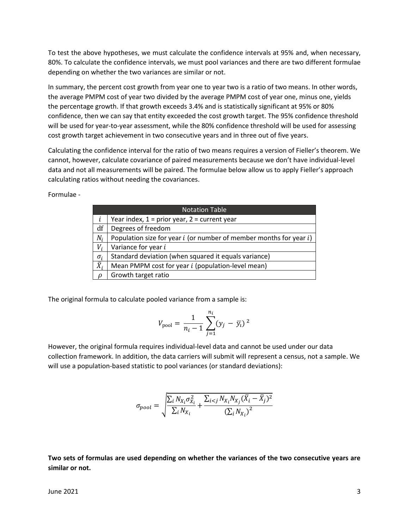To test the above hypotheses, we must calculate the confidence intervals at 95% and, when necessary, 80%. To calculate the confidence intervals, we must pool variances and there are two different formulae depending on whether the two variances are similar or not.

In summary, the percent cost growth from year one to year two is a ratio of two means. In other words, the average PMPM cost of year two divided by the average PMPM cost of year one, minus one, yields the percentage growth. If that growth exceeds 3.4% and is statistically significant at 95% or 80% confidence, then we can say that entity exceeded the cost growth target. The 95% confidence threshold will be used for year-to-year assessment, while the 80% confidence threshold will be used for assessing cost growth target achievement in two consecutive years and in three out of five years.

Calculating the confidence interval for the ratio of two means requires a version of Fieller's theorem. We cannot, however, calculate covariance of paired measurements because we don't have individual-level data and not all measurements will be paired. The formulae below allow us to apply Fieller's approach calculating ratios without needing the covariances.

Formulae -

|               | <b>Notation Table</b>                                                   |  |  |  |  |
|---------------|-------------------------------------------------------------------------|--|--|--|--|
|               | Year index, $1 = prior year$ , $2 = current year$                       |  |  |  |  |
| df            | Degrees of freedom                                                      |  |  |  |  |
| $N_i$         | Population size for year $i$ (or number of member months for year $i$ ) |  |  |  |  |
| $V_i$         | Variance for year i                                                     |  |  |  |  |
| $\sigma_i$    | Standard deviation (when squared it equals variance)                    |  |  |  |  |
| $\bar{X}_i$   | Mean PMPM cost for year <i>i</i> (population-level mean)                |  |  |  |  |
| $\mathcal{D}$ | Growth target ratio                                                     |  |  |  |  |

The original formula to calculate pooled variance from a sample is:

$$
V_{\text{pool}} = \frac{1}{n_i - 1} \sum_{j=1}^{n_i} (y_j - \bar{y}_i)^2
$$

However, the original formula requires individual-level data and cannot be used under our data collection framework. In addition, the data carriers will submit will represent a census, not a sample. We will use a population-based statistic to pool variances (or standard deviations):

$$
\sigma_{pool} = \sqrt{\frac{\sum_{i} N_{X_i} \sigma_{X_i}^2}{\sum_{i} N_{X_i}} + \frac{\sum_{i < j} N_{X_i} N_{X_j} (\bar{X}_i - \bar{X}_j)^2}{(\sum_{i} N_{X_i})^2}}
$$

**Two sets of formulas are used depending on whether the variances of the two consecutive years are similar or not.**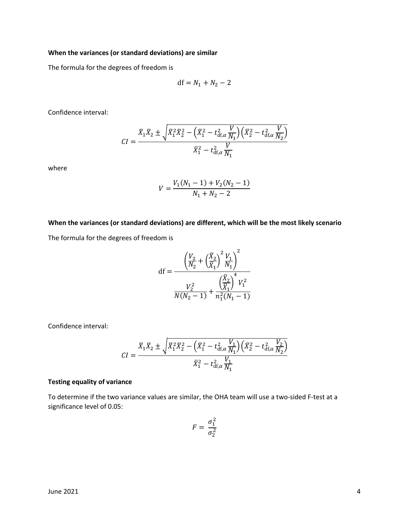# **When the variances (or standard deviations) are similar**

The formula for the degrees of freedom is

$$
df = N_1 + N_2 - 2
$$

Confidence interval:

$$
CI = \frac{\bar{X}_1 \bar{X}_2 \pm \sqrt{\bar{X}_1^2 \bar{X}_2^2 - (\bar{X}_1^2 - t_{df,\alpha}^2 \frac{V}{N_1}) (\bar{X}_2^2 - t_{df,\alpha}^2 \frac{V}{N_2})}}{\bar{X}_1^2 - t_{df,\alpha}^2 \frac{V}{N_1}}
$$

where

$$
V = \frac{V_1(N_1 - 1) + V_2(N_2 - 1)}{N_1 + N_2 - 2}
$$

#### **When the variances (or standard deviations) are different, which will be the most likely scenario**

The formula for the degrees of freedom is

df = 
$$
\frac{\left(\frac{V_2}{N_2} + \left(\frac{\bar{X}_2}{\bar{X}_1}\right)^2 \frac{V_1}{N_1}\right)^2}{\frac{V_2^2}{N(N_2 - 1)} + \frac{\left(\frac{\bar{X}_2}{\bar{X}_1}\right)^4 V_1^2}{n_1^2 (N_1 - 1)}}
$$

Confidence interval:

$$
CI = \frac{\bar{X}_1 \bar{X}_2 \pm \sqrt{\bar{X}_1^2 \bar{X}_2^2 - (\bar{X}_1^2 - t_{\text{df},\alpha}^2 \frac{V_1}{N_1}) (\bar{X}_2^2 - t_{\text{df},\alpha}^2 \frac{V_2}{N_2})}{\bar{X}_1^2 - t_{\text{df},\alpha}^2 \frac{V_1}{N_1}}
$$

#### **Testing equality of variance**

To determine if the two variance values are similar, the OHA team will use a two-sided F-test at a significance level of 0.05:

$$
F = \frac{\sigma_1^2}{\sigma_2^2}
$$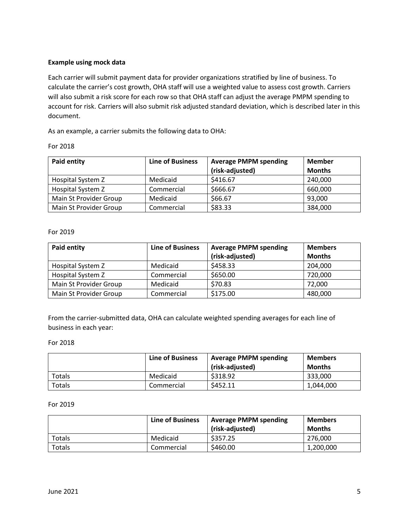# **Example using mock data**

Each carrier will submit payment data for provider organizations stratified by line of business. To calculate the carrier's cost growth, OHA staff will use a weighted value to assess cost growth. Carriers will also submit a risk score for each row so that OHA staff can adjust the average PMPM spending to account for risk. Carriers will also submit risk adjusted standard deviation, which is described later in this document.

As an example, a carrier submits the following data to OHA:

| nr<br>r | 2018 |
|---------|------|
|---------|------|

| <b>Paid entity</b>                   | <b>Line of Business</b> | <b>Average PMPM spending</b><br>(risk-adjusted) | <b>Member</b><br><b>Months</b> |
|--------------------------------------|-------------------------|-------------------------------------------------|--------------------------------|
| Hospital System Z                    | Medicaid                | \$416.67                                        | 240,000                        |
| Hospital System Z                    | Commercial              | \$666.67                                        | 660,000                        |
| Main St Provider Group               | Medicaid                | \$66.67                                         | 93,000                         |
| Main St Provider Group<br>Commercial |                         | \$83.33                                         | 384,000                        |

# For 2019

| Paid entity            | <b>Line of Business</b> | <b>Average PMPM spending</b> | <b>Members</b> |
|------------------------|-------------------------|------------------------------|----------------|
|                        |                         | (risk-adjusted)              | <b>Months</b>  |
| Hospital System Z      | Medicaid                | \$458.33                     | 204,000        |
| Hospital System Z      | Commercial              | \$650.00                     | 720,000        |
| Main St Provider Group | Medicaid                | \$70.83                      | 72,000         |
| Main St Provider Group | Commercial              | \$175.00                     | 480,000        |

From the carrier-submitted data, OHA can calculate weighted spending averages for each line of business in each year:

#### For 2018

|        | <b>Line of Business</b> | <b>Average PMPM spending</b><br>(risk-adjusted) | <b>Members</b><br><b>Months</b> |
|--------|-------------------------|-------------------------------------------------|---------------------------------|
| Totals | Medicaid                | \$318.92                                        | 333.000                         |
| Totals | Commercial              | \$452.11                                        | 1,044,000                       |

#### For 2019

|        | <b>Line of Business</b> | <b>Average PMPM spending</b><br>(risk-adjusted) | <b>Members</b><br><b>Months</b> |
|--------|-------------------------|-------------------------------------------------|---------------------------------|
| Totals | Medicaid                | \$357.25                                        | 276.000                         |
| Totals | Commercial              | \$460.00                                        | 1,200,000                       |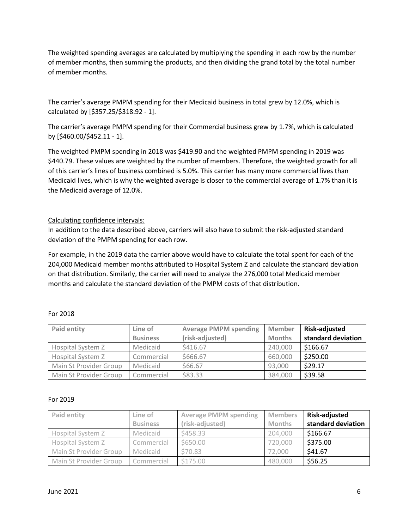The weighted spending averages are calculated by multiplying the spending in each row by the number of member months, then summing the products, and then dividing the grand total by the total number of member months.

The carrier's average PMPM spending for their Medicaid business in total grew by 12.0%, which is calculated by [\$357.25/\$318.92 - 1].

The carrier's average PMPM spending for their Commercial business grew by 1.7%, which is calculated by [\$460.00/\$452.11 - 1].

The weighted PMPM spending in 2018 was \$419.90 and the weighted PMPM spending in 2019 was \$440.79. These values are weighted by the number of members. Therefore, the weighted growth for all of this carrier's lines of business combined is 5.0%. This carrier has many more commercial lives than Medicaid lives, which is why the weighted average is closer to the commercial average of 1.7% than it is the Medicaid average of 12.0%.

# Calculating confidence intervals:

In addition to the data described above, carriers will also have to submit the risk-adjusted standard deviation of the PMPM spending for each row.

For example, in the 2019 data the carrier above would have to calculate the total spent for each of the 204,000 Medicaid member months attributed to Hospital System Z and calculate the standard deviation on that distribution. Similarly, the carrier will need to analyze the 276,000 total Medicaid member months and calculate the standard deviation of the PMPM costs of that distribution.

| <b>Paid entity</b>     | Line of         | <b>Average PMPM spending</b> | <b>Member</b> | <b>Risk-adjusted</b> |
|------------------------|-----------------|------------------------------|---------------|----------------------|
|                        | <b>Business</b> | (risk-adjusted)              | <b>Months</b> | standard deviation   |
| Hospital System Z      | Medicaid        | \$416.67                     | 240,000       | \$166.67             |
| Hospital System Z      | Commercial      | \$666.67                     | 660,000       | \$250.00             |
| Main St Provider Group | Medicaid        | \$66.67                      | 93,000        | \$29.17              |
| Main St Provider Group | Commercial      | \$83.33                      | 384,000       | \$39.58              |

# For 2018

#### For 2019

| Paid entity            | Line of         | <b>Average PMPM spending</b> | <b>Members</b> | <b>Risk-adjusted</b> |
|------------------------|-----------------|------------------------------|----------------|----------------------|
|                        | <b>Business</b> | (risk-adjusted)              | <b>Months</b>  | standard deviation   |
| Hospital System Z      | Medicaid        | \$458.33                     | 204,000        | \$166.67             |
| Hospital System Z      | Commercial      | \$650.00                     | 720,000        | \$375.00             |
| Main St Provider Group | Medicaid        | \$70.83                      | 72,000         | \$41.67              |
| Main St Provider Group | Commercial      | \$175.00                     | 480,000        | \$56.25              |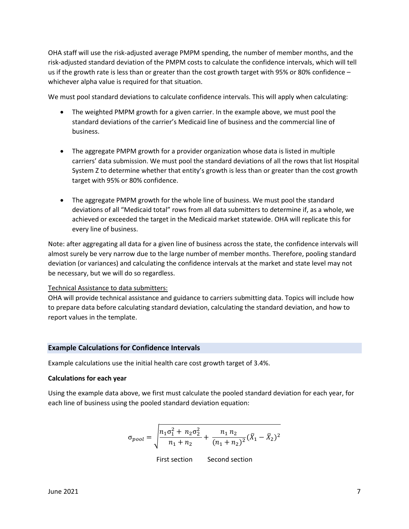OHA staff will use the risk-adjusted average PMPM spending, the number of member months, and the risk-adjusted standard deviation of the PMPM costs to calculate the confidence intervals, which will tell us if the growth rate is less than or greater than the cost growth target with 95% or 80% confidence – whichever alpha value is required for that situation.

We must pool standard deviations to calculate confidence intervals. This will apply when calculating:

- The weighted PMPM growth for a given carrier. In the example above, we must pool the standard deviations of the carrier's Medicaid line of business and the commercial line of business.
- The aggregate PMPM growth for a provider organization whose data is listed in multiple carriers' data submission. We must pool the standard deviations of all the rows that list Hospital System Z to determine whether that entity's growth is less than or greater than the cost growth target with 95% or 80% confidence.
- The aggregate PMPM growth for the whole line of business. We must pool the standard deviations of all "Medicaid total" rows from all data submitters to determine if, as a whole, we achieved or exceeded the target in the Medicaid market statewide. OHA will replicate this for every line of business.

Note: after aggregating all data for a given line of business across the state, the confidence intervals will almost surely be very narrow due to the large number of member months. Therefore, pooling standard deviation (or variances) and calculating the confidence intervals at the market and state level may not be necessary, but we will do so regardless.

# Technical Assistance to data submitters:

OHA will provide technical assistance and guidance to carriers submitting data. Topics will include how to prepare data before calculating standard deviation, calculating the standard deviation, and how to report values in the template.

# **Example Calculations for Confidence Intervals**

Example calculations use the initial health care cost growth target of 3.4%.

#### **Calculations for each year**

Using the example data above, we first must calculate the pooled standard deviation for each year, for each line of business using the pooled standard deviation equation:

$$
\sigma_{pool} = \sqrt{\frac{n_1 \sigma_1^2 + n_2 \sigma_2^2}{n_1 + n_2} + \frac{n_1 n_2}{(n_1 + n_2)^2} (\bar{X}_1 - \bar{X}_2)^2}
$$

First section Second section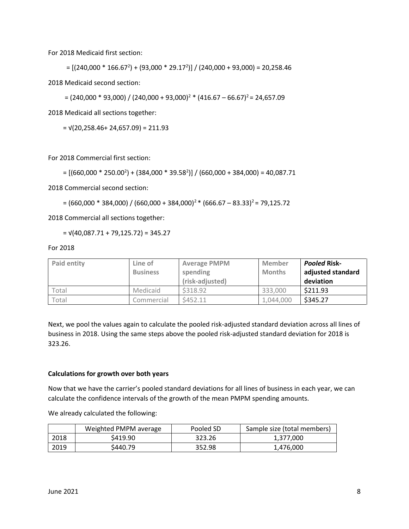For 2018 Medicaid first section:

= [(240,000 \* 166.67<sup>2</sup> ) + (93,000 \* 29.17<sup>2</sup> )] / (240,000 + 93,000) = 20,258.46

2018 Medicaid second section:

 $=(240,000 * 93,000) / (240,000 + 93,000)^{2}$  \*  $(416.67 - 66.67)^{2}$  = 24,657.09

2018 Medicaid all sections together:

 $= \sqrt{(20,258.46 + 24,657.09)} = 211.93$ 

For 2018 Commercial first section:

 $= [(660,000 * 250.00<sup>2</sup>) + (384,000 * 39.58<sup>2</sup>)] / (660,000 + 384,000) = 40,087.71$ 

2018 Commercial second section:

 $=(660,000 * 384,000) / (660,000 + 384,000)^{2}$  (666.67 – 83.33)<sup>2</sup> = 79,125.72

2018 Commercial all sections together:

 $= \sqrt{(40,087.71 + 79,125.72)} = 345.27$ 

For 2018

| <b>Paid entity</b> | Line of<br><b>Business</b> | <b>Average PMPM</b><br>spending<br>(risk-adjusted) | <b>Member</b><br><b>Months</b> | <b>Pooled Risk-</b><br>adjusted standard<br>deviation |
|--------------------|----------------------------|----------------------------------------------------|--------------------------------|-------------------------------------------------------|
| Total              | Medicaid                   | \$318.92                                           | 333,000                        | \$211.93                                              |
| Total              | Commercial                 | \$452.11                                           | 1,044,000                      | \$345.27                                              |

Next, we pool the values again to calculate the pooled risk-adjusted standard deviation across all lines of business in 2018. Using the same steps above the pooled risk-adjusted standard deviation for 2018 is 323.26.

#### **Calculations for growth over both years**

Now that we have the carrier's pooled standard deviations for all lines of business in each year, we can calculate the confidence intervals of the growth of the mean PMPM spending amounts.

We already calculated the following:

|      | Weighted PMPM average | Pooled SD | Sample size (total members) |
|------|-----------------------|-----------|-----------------------------|
| 2018 | \$419.90              | 323.26    | 1,377,000                   |
| 2019 | S440.79               | 352.98    | 1,476,000                   |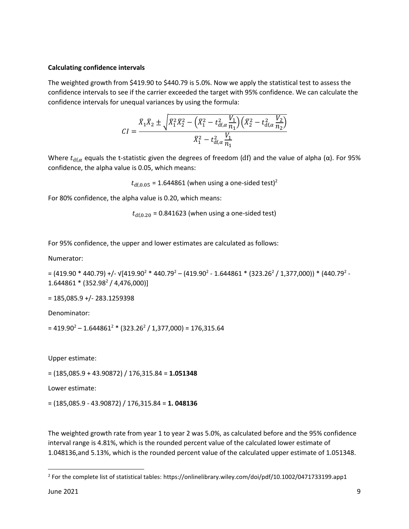# **Calculating confidence intervals**

The weighted growth from \$419.90 to \$440.79 is 5.0%. Now we apply the statistical test to assess the confidence intervals to see if the carrier exceeded the target with 95% confidence. We can calculate the confidence intervals for unequal variances by using the formula:

$$
CI = \frac{\bar{X}_1 \bar{X}_2 \pm \sqrt{\bar{X}_1^2 \bar{X}_2^2 - (\bar{X}_1^2 - t_{df,\alpha}^2 \frac{V_1}{n_1}) (\bar{X}_2^2 - t_{df,\alpha}^2 \frac{V_2}{n_2})}}{\bar{X}_1^2 - t_{df,\alpha}^2 \frac{V_1}{n_1}}
$$

Where  $t_{df,\alpha}$  equals the t-statistic given the degrees of freedom (df) and the value of alpha ( $\alpha$ ). For 95% confidence, the alpha value is 0.05, which means:

 $t_{\text{df,0.05}}$  = 1.644861 (when using a one-sided test)<sup>2</sup>

For 80% confidence, the alpha value is 0.20, which means:

 $t_{\text{df},0.20}$  = 0.841623 (when using a one-sided test)

For 95% confidence, the upper and lower estimates are calculated as follows:

Numerator:

```
= (419.90 * 440.79) +/- v[419.90^2 * 440.79^2 – (419.90^2 - 1.644861 * (323.26^2 / 1,377,000)) * (440.79^2 -
1.644861 * (352.98<sup>2</sup> / 4,476,000)]
```
 $= 185,085.9 + (-283.1259398)$ 

Denominator:

= 419.90<sup>2</sup> – 1.644861<sup>2</sup> \* (323.26<sup>2</sup> / 1,377,000) = 176,315.64

Upper estimate:

= (185,085.9 + 43.90872) / 176,315.84 = **1.051348**

Lower estimate:

= (185,085.9 - 43.90872) / 176,315.84 = **1. 048136**

The weighted growth rate from year 1 to year 2 was 5.0%, as calculated before and the 95% confidence interval range is 4.81%, which is the rounded percent value of the calculated lower estimate of 1.048136,and 5.13%, which is the rounded percent value of the calculated upper estimate of 1.051348.

 $^2$  For the complete list of statistical tables: https://onlinelibrary.wiley.com/doi/pdf/10.1002/0471733199.app1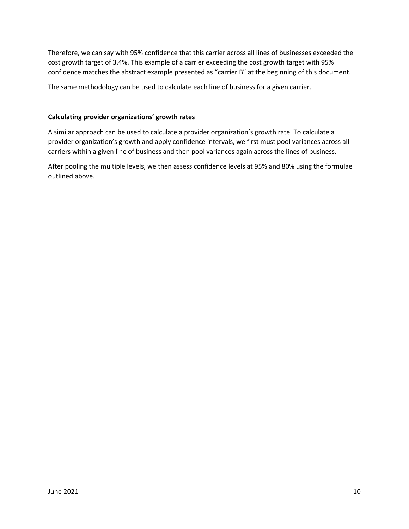Therefore, we can say with 95% confidence that this carrier across all lines of businesses exceeded the cost growth target of 3.4%. This example of a carrier exceeding the cost growth target with 95% confidence matches the abstract example presented as "carrier B" at the beginning of this document.

The same methodology can be used to calculate each line of business for a given carrier.

# **Calculating provider organizations' growth rates**

A similar approach can be used to calculate a provider organization's growth rate. To calculate a provider organization's growth and apply confidence intervals, we first must pool variances across all carriers within a given line of business and then pool variances again across the lines of business.

After pooling the multiple levels, we then assess confidence levels at 95% and 80% using the formulae outlined above.